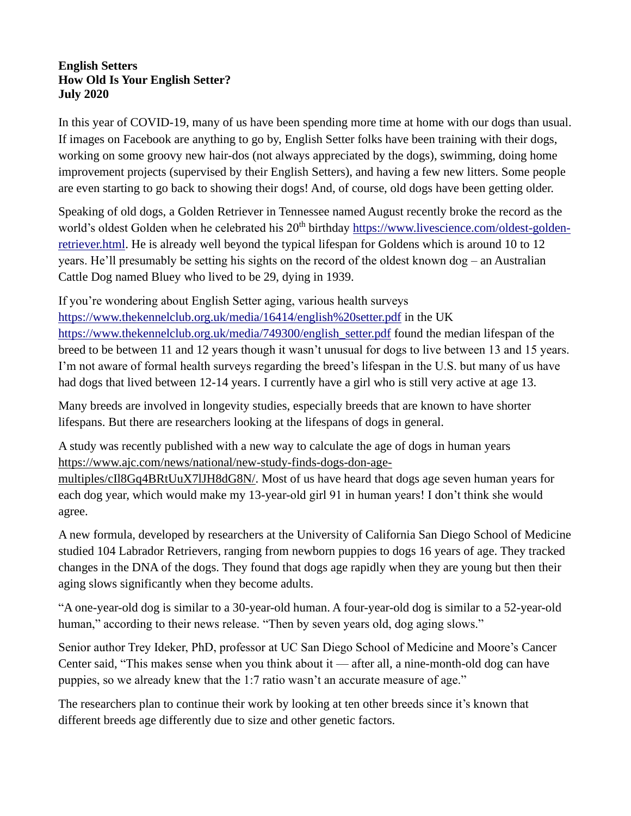## **English Setters How Old Is Your English Setter? July 2020**

In this year of COVID-19, many of us have been spending more time at home with our dogs than usual. If images on Facebook are anything to go by, English Setter folks have been training with their dogs, working on some groovy new hair-dos (not always appreciated by the dogs), swimming, doing home improvement projects (supervised by their English Setters), and having a few new litters. Some people are even starting to go back to showing their dogs! And, of course, old dogs have been getting older.

Speaking of old dogs, a Golden Retriever in Tennessee named August recently broke the record as the world's oldest Golden when he celebrated his 20<sup>th</sup> birthday [https://www.livescience.com/oldest-golden](https://www.livescience.com/oldest-golden-retriever.html)[retriever.html.](https://www.livescience.com/oldest-golden-retriever.html) He is already well beyond the typical lifespan for Goldens which is around 10 to 12 years. He'll presumably be setting his sights on the record of the oldest known dog – an Australian Cattle Dog named Bluey who lived to be 29, dying in 1939.

If you're wondering about English Setter aging, various health surveys <https://www.thekennelclub.org.uk/media/16414/english%20setter.pdf> in the UK [https://www.thekennelclub.org.uk/media/749300/english\\_setter.pdf](https://www.thekennelclub.org.uk/media/749300/english_setter.pdf) found the median lifespan of the breed to be between 11 and 12 years though it wasn't unusual for dogs to live between 13 and 15 years. I'm not aware of formal health surveys regarding the breed's lifespan in the U.S. but many of us have had dogs that lived between 12-14 years. I currently have a girl who is still very active at age 13.

Many breeds are involved in longevity studies, especially breeds that are known to have shorter lifespans. But there are researchers looking at the lifespans of dogs in general.

A study was recently published with a new way to calculate the age of dogs in human years [https://www.ajc.com/news/national/new-study-finds-dogs-don-age-](https://www.ajc.com/news/national/new-study-finds-dogs-don-age-multiples/cIl8Gq4BRtUuX7lJH8dG8N/)

[multiples/cIl8Gq4BRtUuX7lJH8dG8N/.](https://www.ajc.com/news/national/new-study-finds-dogs-don-age-multiples/cIl8Gq4BRtUuX7lJH8dG8N/) Most of us have heard that dogs age seven human years for each dog year, which would make my 13-year-old girl 91 in human years! I don't think she would agree.

A new formula, developed by researchers at the University of California San Diego School of Medicine studied 104 Labrador Retrievers, ranging from newborn puppies to dogs 16 years of age. They tracked changes in the DNA of the dogs. They found that dogs age rapidly when they are young but then their aging slows significantly when they become adults.

"A one-year-old dog is similar to a 30-year-old human. A four-year-old dog is similar to a 52-year-old human," according to their news release. "Then by seven years old, dog aging slows."

Senior author Trey Ideker, PhD, professor at UC San Diego School of Medicine and Moore's Cancer Center said, "This makes sense when you think about it — after all, a nine-month-old dog can have puppies, so we already knew that the 1:7 ratio wasn't an accurate measure of age."

The researchers plan to continue their work by looking at ten other breeds since it's known that different breeds age differently due to size and other genetic factors.